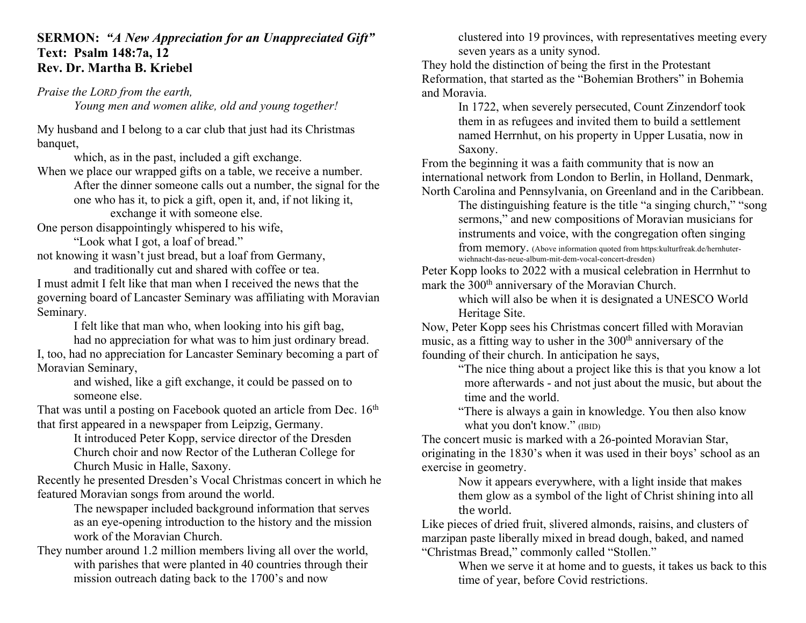## **SERMON:** *"A New Appreciation for an Unappreciated Gift"* **Text: Psalm 148:7a, 12 Rev. Dr. Martha B. Kriebel**

*Praise the LORD from the earth,* 

*Young men and women alike, old and young together!*

My husband and I belong to a car club that just had its Christmas banquet,

which, as in the past, included a gift exchange.

When we place our wrapped gifts on a table, we receive a number. After the dinner someone calls out a number, the signal for the one who has it, to pick a gift, open it, and, if not liking it, exchange it with someone else.

One person disappointingly whispered to his wife,

"Look what I got, a loaf of bread."

not knowing it wasn't just bread, but a loaf from Germany,

and traditionally cut and shared with coffee or tea. I must admit I felt like that man when I received the news that the governing board of Lancaster Seminary was affiliating with Moravian Seminary.

I felt like that man who, when looking into his gift bag,

had no appreciation for what was to him just ordinary bread. I, too, had no appreciation for Lancaster Seminary becoming a part of Moravian Seminary,

> and wished, like a gift exchange, it could be passed on to someone else.

That was until a posting on Facebook quoted an article from Dec. 16<sup>th</sup> that first appeared in a newspaper from Leipzig, Germany.

It introduced Peter Kopp, service director of the Dresden Church choir and now Rector of the Lutheran College for Church Music in Halle, Saxony.

Recently he presented Dresden's Vocal Christmas concert in which he featured Moravian songs from around the world.

> The newspaper included background information that serves as an eye-opening introduction to the history and the mission work of the Moravian Church.

They number around 1.2 million members living all over the world, with parishes that were planted in 40 countries through their mission outreach dating back to the 1700's and now

clustered into 19 provinces, with representatives meeting every seven years as a unity synod.

They hold the distinction of being the first in the Protestant Reformation, that started as the "Bohemian Brothers" in Bohemia and Moravia.

In 1722, when severely persecuted, Count Zinzendorf took them in as refugees and invited them to build a settlement named Herrnhut, on his property in Upper Lusatia, now in Saxony.

From the beginning it was a faith community that is now an international network from London to Berlin, in Holland, Denmark, North Carolina and Pennsylvania, on Greenland and in the Caribbean.

The distinguishing feature is the title "a singing church," "song sermons," and new compositions of Moravian musicians for instruments and voice, with the congregation often singing

from memory. (Above information quoted from https:kulturfreak.de/hernhuterwiehnacht-das-neue-album-mit-dem-vocal-concert-dresden)

Peter Kopp looks to 2022 with a musical celebration in Herrnhut to mark the 300<sup>th</sup> anniversary of the Moravian Church.

which will also be when it is designated a UNESCO World Heritage Site.

Now, Peter Kopp sees his Christmas concert filled with Moravian music, as a fitting way to usher in the  $300<sup>th</sup>$  anniversary of the founding of their church. In anticipation he says,

"The nice thing about a project like this is that you know a lot more afterwards - and not just about the music, but about the time and the world.

"There is always a gain in knowledge. You then also know what you don't know." (IBID)

The concert music is marked with a 26-pointed Moravian Star, originating in the 1830's when it was used in their boys' school as an exercise in geometry.

Now it appears everywhere, with a light inside that makes them glow as a symbol of the light of Christ shining into all the world.

Like pieces of dried fruit, slivered almonds, raisins, and clusters of marzipan paste liberally mixed in bread dough, baked, and named "Christmas Bread," commonly called "Stollen."

When we serve it at home and to guests, it takes us back to this time of year, before Covid restrictions.